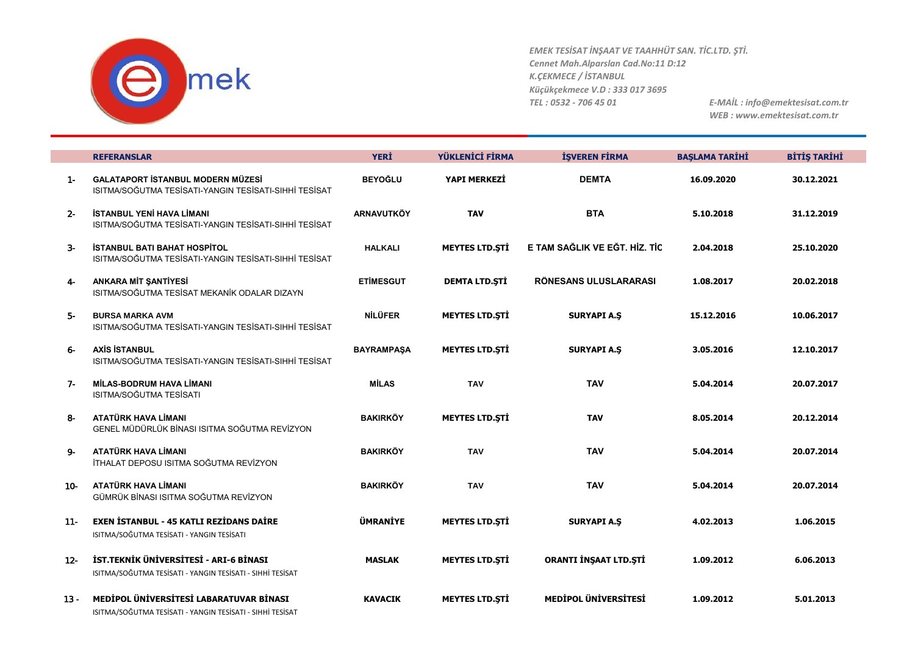

|        | <b>REFERANSLAR</b>                                                                                   | <b>YERI</b>       | YÜKLENİCİ FİRMA       | <b>İŞVEREN FİRMA</b>          | <b>BASLAMA TARİHİ</b> | <b>BİTİŞ TARİHİ</b> |
|--------|------------------------------------------------------------------------------------------------------|-------------------|-----------------------|-------------------------------|-----------------------|---------------------|
| $1 -$  | <b>GALATAPORT İSTANBUL MODERN MÜZESİ</b><br>ISITMA/SOĞUTMA TESİSATI-YANGIN TESİSATI-SIHHİ TESİSAT    | <b>BEYOĞLU</b>    | YAPI MERKEZİ          | <b>DEMTA</b>                  | 16.09.2020            | 30.12.2021          |
| $2 -$  | <b>İSTANBUL YENİ HAVA LİMANI</b><br>ISITMA/SOĞUTMA TESİSATI-YANGIN TESİSATI-SIHHİ TESİSAT            | <b>ARNAVUTKÖY</b> | <b>TAV</b>            | <b>BTA</b>                    | 5.10.2018             | 31.12.2019          |
| $3-$   | <b>İSTANBUL BATI BAHAT HOSPİTOL</b><br>ISITMA/SOĞUTMA TESİSATI-YANGIN TESİSATI-SIHHİ TESİSAT         | <b>HALKALI</b>    | <b>MEYTES LTD.STI</b> | E TAM SAĞLIK VE EĞT. HİZ. TİC | 2.04.2018             | 25.10.2020          |
| $4-$   | <b>ANKARA MIT ŞANTIYESI</b><br>ISITMA/SOĞUTMA TESİSAT MEKANİK ODALAR DIZAYN                          | <b>ETIMESGUT</b>  | <b>DEMTA LTD.STİ</b>  | RÖNESANS ULUSLARARASI         | 1.08.2017             | 20.02.2018          |
| Б-     | <b>BURSA MARKA AVM</b><br>ISITMA/SOĞUTMA TESİSATI-YANGIN TESİSATI-SIHHİ TESİSAT                      | <b>NILÜFER</b>    | <b>MEYTES LTD.STI</b> | <b>SURYAPI A.S</b>            | 15.12.2016            | 10.06.2017          |
| 6-     | <b>AXIS ISTANBUL</b><br>ISITMA/SOĞUTMA TESİSATI-YANGIN TESİSATI-SIHHİ TESİSAT                        | <b>BAYRAMPASA</b> | <b>MEYTES LTD.STI</b> | <b>SURYAPI A.S</b>            | 3.05.2016             | 12.10.2017          |
| $7-$   | <b>MİLAS-BODRUM HAVA LİMANI</b><br>ISITMA/SOĞUTMA TESİSATI                                           | <b>MİLAS</b>      | <b>TAV</b>            | <b>TAV</b>                    | 5.04.2014             | 20.07.2017          |
| $8-$   | ATATÜRK HAVA LİMANI<br>GENEL MÜDÜRLÜK BİNASI ISITMA SOĞUTMA REVİZYON                                 | <b>BAKIRKÖY</b>   | <b>MEYTES LTD.STI</b> | <b>TAV</b>                    | 8.05.2014             | 20.12.2014          |
| 9-     | ATATÜRK HAVA LİMANI<br>İTHALAT DEPOSU ISITMA SOĞUTMA REVİZYON                                        | <b>BAKIRKÖY</b>   | <b>TAV</b>            | <b>TAV</b>                    | 5.04.2014             | 20.07.2014          |
| $10-$  | ATATÜRK HAVA LİMANI<br>GÜMRÜK BİNASI ISITMA SOĞUTMA REVİZYON                                         | <b>BAKIRKÖY</b>   | <b>TAV</b>            | <b>TAV</b>                    | 5.04.2014             | 20.07.2014          |
| $11 -$ | <b>EXEN ISTANBUL - 45 KATLI REZIDANS DAIRE</b><br>ISITMA/SOĞUTMA TESİSATI - YANGIN TESİSATI          | <b>ÜMRANİYE</b>   | <b>MEYTES LTD.STI</b> | <b>SURYAPI A.S</b>            | 4.02.2013             | 1.06.2015           |
| $12 -$ | İST.TEKNİK ÜNİVERSİTESİ - ARI-6 BİNASI<br>ISITMA/SOĞUTMA TESİSATI - YANGIN TESİSATI - SIHHİ TESİSAT  | <b>MASLAK</b>     | <b>MEYTES LTD.STI</b> | ORANTI İNŞAAT LTD.ŞTİ         | 1.09.2012             | 6.06.2013           |
| $13 -$ | MEDİPOL ÜNİVERSİTESİ LABARATUVAR BİNASI<br>ISITMA/SOĞUTMA TESİSATI - YANGIN TESİSATI - SIHHİ TESİSAT | <b>KAVACIK</b>    | <b>MEYTES LTD.STI</b> | <b>MEDIPOL ÜNIVERSITESI</b>   | 1.09.2012             | 5.01.2013           |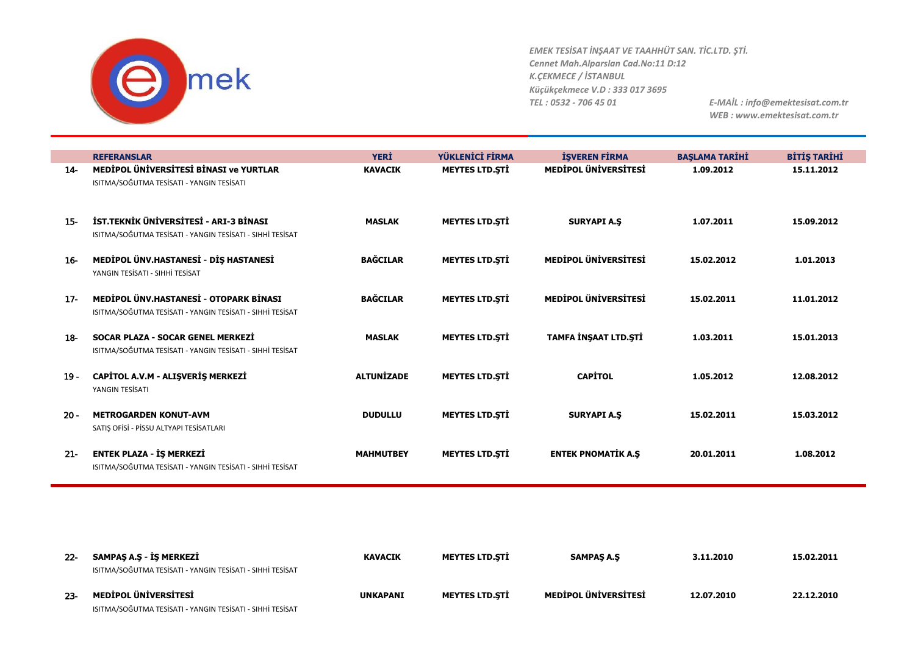

|        | <b>REFERANSLAR</b>                                                                                  | <b>YERİ</b>       | YÜKLENİCİ FİRMA       | <b>İŞVEREN FİRMA</b>        | <b>BAŞLAMA TARİHİ</b> | <b>BİTİŞ TARİHİ</b> |
|--------|-----------------------------------------------------------------------------------------------------|-------------------|-----------------------|-----------------------------|-----------------------|---------------------|
| $14-$  | MEDIPOL ÜNIVERSITESI BINASI ve YURTLAR<br>ISITMA/SOĞUTMA TESİSATI - YANGIN TESİSATI                 | <b>KAVACIK</b>    | <b>MEYTES LTD.STİ</b> | <b>MEDIPOL ÜNIVERSITESI</b> | 1.09.2012             | 15.11.2012          |
| $15 -$ | İST.TEKNİK ÜNİVERSİTESİ - ARI-3 BİNASI<br>ISITMA/SOĞUTMA TESİSATI - YANGIN TESİSATI - SIHHİ TESİSAT | <b>MASLAK</b>     | <b>MEYTES LTD.STI</b> | <b>SURYAPI A.S</b>          | 1.07.2011             | 15.09.2012          |
| $16-$  | MEDİPOL ÜNV.HASTANESİ - DİŞ HASTANESİ<br>YANGIN TESİSATI - SIHHİ TESİSAT                            | <b>BAĞCILAR</b>   | <b>MEYTES LTD.STI</b> | <b>MEDIPOL ÜNIVERSITESI</b> | 15.02.2012            | 1.01.2013           |
| $17 -$ | MEDIPOL ÜNV.HASTANESI - OTOPARK BINASI<br>ISITMA/SOĞUTMA TESİSATI - YANGIN TESİSATI - SIHHİ TESİSAT | <b>BAĞCILAR</b>   | <b>MEYTES LTD.STI</b> | <b>MEDIPOL ÜNIVERSITESI</b> | 15.02.2011            | 11.01.2012          |
| $18-$  | SOCAR PLAZA - SOCAR GENEL MERKEZI<br>ISITMA/SOĞUTMA TESİSATI - YANGIN TESİSATI - SIHHİ TESİSAT      | <b>MASLAK</b>     | <b>MEYTES LTD.STI</b> | TAMFA İNŞAAT LTD.ŞTİ        | 1.03.2011             | 15.01.2013          |
| $19 -$ | CAPİTOL A.V.M - ALIŞVERİŞ MERKEZİ<br>YANGIN TESİSATI                                                | <b>ALTUNIZADE</b> | <b>MEYTES LTD.STI</b> | <b>CAPITOL</b>              | 1.05.2012             | 12.08.2012          |
| $20 -$ | <b>METROGARDEN KONUT-AVM</b><br>SATIŞ OFİSİ - PİSSU ALTYAPI TESİSATLARI                             | <b>DUDULLU</b>    | <b>MEYTES LTD.STI</b> | <b>SURYAPI A.S</b>          | 15.02.2011            | 15.03.2012          |
| $21 -$ | <b>ENTEK PLAZA - İŞ MERKEZİ</b><br>ISITMA/SOĞUTMA TESİSATI - YANGIN TESİSATI - SIHHİ TESİSAT        | <b>MAHMUTBEY</b>  | <b>MEYTES LTD.STI</b> | <b>ENTEK PNOMATIK A.S</b>   | 20.01.2011            | 1.08.2012           |

| $22 -$ | SAMPAS A.S - İS MERKEZİ<br>ISITMA/SOĞUTMA TESİSATI - YANGIN TESİSATI - SIHHİ TESİSAT | <b>KAVACIK</b>  | <b>MEYTES LTD.STI</b> | <b>SAMPAS A.S</b>    | 3.11.2010  | 15.02.2011 |
|--------|--------------------------------------------------------------------------------------|-----------------|-----------------------|----------------------|------------|------------|
| $23 -$ | MEDİPOL ÜNİVERSİTESİ<br>ISITMA/SOĞUTMA TESİSATI - YANGIN TESİSATI - SIHHİ TESİSAT    | <b>UNKAPANI</b> | <b>MEYTES LTD.STİ</b> | MEDİPOL ÜNİVERSİTESİ | 12.07.2010 | 22.12.2010 |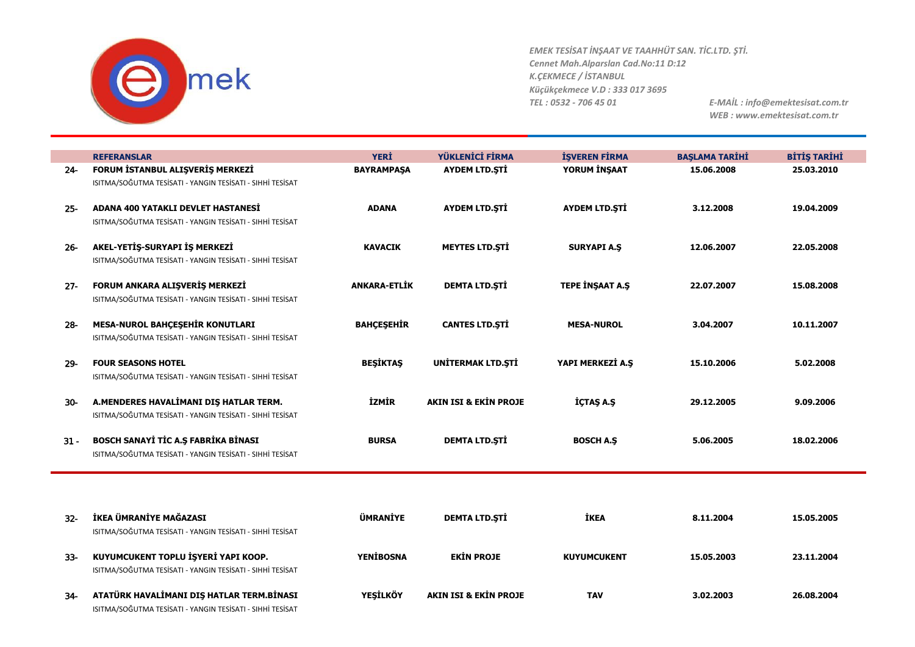

|        | <b>REFERANSLAR</b>                                                                                     | <b>YERİ</b>         | YÜKLENİCİ FİRMA                  | <b>İŞVEREN FİRMA</b>   | <b>BAŞLAMA TARİHİ</b> | <b>BİTİŞ TARİHİ</b> |
|--------|--------------------------------------------------------------------------------------------------------|---------------------|----------------------------------|------------------------|-----------------------|---------------------|
| $24 -$ | FORUM ISTANBUL ALIŞVERIŞ MERKEZI<br>ISITMA/SOĞUTMA TESİSATI - YANGIN TESİSATI - SIHHİ TESİSAT          | <b>BAYRAMPAŞA</b>   | <b>AYDEM LTD.ŞTİ</b>             | YORUM İNŞAAT           | 15.06.2008            | 25.03.2010          |
| $25 -$ | ADANA 400 YATAKLI DEVLET HASTANESİ<br>ISITMA/SOĞUTMA TESİSATI - YANGIN TESİSATI - SIHHİ TESİSAT        | <b>ADANA</b>        | <b>AYDEM LTD.STİ</b>             | <b>AYDEM LTD.STİ</b>   | 3.12.2008             | 19.04.2009          |
| $26 -$ | AKEL-YETİŞ-SURYAPI İŞ MERKEZİ<br>ISITMA/SOĞUTMA TESİSATI - YANGIN TESİSATI - SIHHİ TESİSAT             | <b>KAVACIK</b>      | <b>MEYTES LTD.STI</b>            | <b>SURYAPI A.S</b>     | 12.06.2007            | 22.05.2008          |
| $27 -$ | FORUM ANKARA ALIŞVERİŞ MERKEZİ<br>ISITMA/SOĞUTMA TESİSATI - YANGIN TESİSATI - SIHHİ TESİSAT            | <b>ANKARA-ETLİK</b> | <b>DEMTA LTD.ŞTİ</b>             | <b>TEPE INSAAT A.S</b> | 22.07.2007            | 15.08.2008          |
| $28 -$ | MESA-NUROL BAHÇEŞEHİR KONUTLARI<br>ISITMA/SOĞUTMA TESİSATI - YANGIN TESİSATI - SIHHİ TESİSAT           | <b>BAHÇEŞEHİR</b>   | <b>CANTES LTD.STI</b>            | <b>MESA-NUROL</b>      | 3.04.2007             | 10.11.2007          |
| $29 -$ | <b>FOUR SEASONS HOTEL</b><br>ISITMA/SOĞUTMA TESİSATI - YANGIN TESİSATI - SIHHİ TESİSAT                 | <b>BESIKTAS</b>     | <b>UNITERMAK LTD.STI</b>         | YAPI MERKEZİ A.Ş       | 15.10.2006            | 5.02.2008           |
| $30-$  | A.MENDERES HAVALİMANI DIŞ HATLAR TERM.<br>ISITMA/SOĞUTMA TESİSATI - YANGIN TESİSATI - SIHHİ TESİSAT    | <b>İZMİR</b>        | <b>AKIN ISI &amp; EKİN PROJE</b> | İÇTAŞ A.Ş              | 29.12.2005            | 9.09.2006           |
| $31 -$ | BOSCH SANAYİ TİC A.Ş FABRİKA BİNASI<br>ISITMA/SOĞUTMA TESİSATI - YANGIN TESİSATI - SIHHİ TESİSAT       | <b>BURSA</b>        | <b>DEMTA LTD.ŞTİ</b>             | <b>BOSCH A.S</b>       | 5.06.2005             | 18.02.2006          |
|        |                                                                                                        |                     |                                  |                        |                       |                     |
| $32 -$ | İKEA ÜMRANİYE MAĞAZASI<br>ISITMA/SOĞUTMA TESİSATI - YANGIN TESİSATI - SIHHİ TESİSAT                    | <b>ÜMRANİYE</b>     | <b>DEMTA LTD.STİ</b>             | İKEA                   | 8.11.2004             | 15.05.2005          |
| $33 -$ | KUYUMCUKENT TOPLU İŞYERİ YAPI KOOP.<br>ISITMA/SOĞUTMA TESİSATI - YANGIN TESİSATI - SIHHİ TESİSAT       | <b>YENIBOSNA</b>    | <b>EKIN PROJE</b>                | <b>KUYUMCUKENT</b>     | 15.05.2003            | 23.11.2004          |
| $34-$  | ATATÜRK HAVALİMANI DIŞ HATLAR TERM.BİNASI<br>ISITMA/SOĞUTMA TESİSATI - YANGIN TESİSATI - SIHHİ TESİSAT | <b>YEŞİLKÖY</b>     | <b>AKIN ISI &amp; EKİN PROJE</b> | <b>TAV</b>             | 3.02.2003             | 26.08.2004          |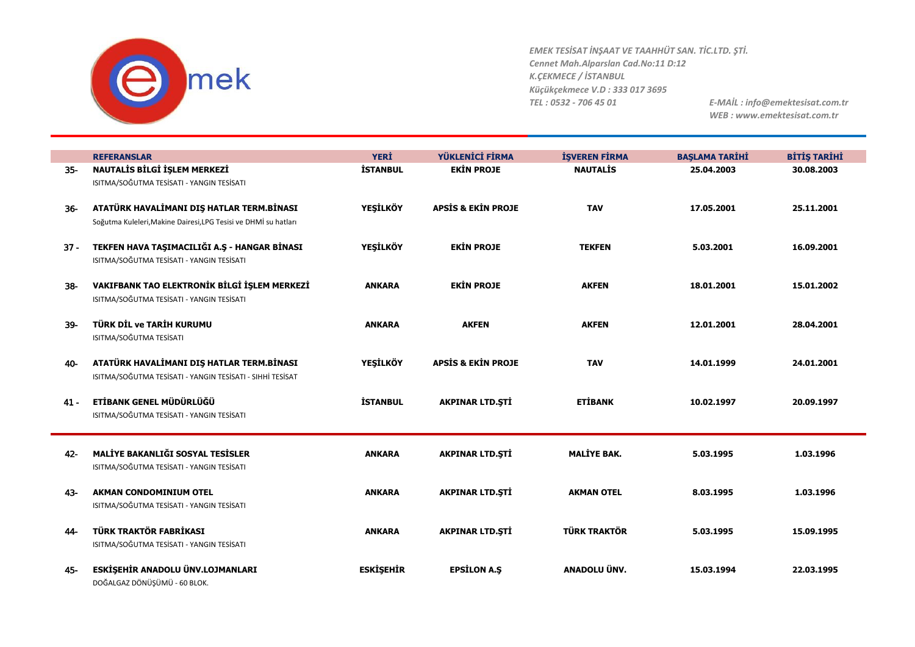

*EMEK TESİSAT İNŞAAT VE TAAHHÜT SAN. TİC.LTD. ŞTİ. Cennet Mah.Alparslan Cad.No:11 D:12 K.ÇEKMECE / İSTANBUL Küçükçekmece V.D : 333 017 3695 TEL : 0532 - 706 45 01 E-MAİL : info@emektesisat.com.tr*

| <b>REFERANSLAR</b>                        | <b>YERİ</b>                                                                                                                                                                                                                                                                                                                                                                                                                                                                                                                                                                                                                                      | YÜKLENİCİ FİRMA                                                                                                                | <b>İŞVEREN FİRMA</b>                                                                                                                                                               | <b>BAŞLAMA TARİHİ</b>                                                                                | <b>BİTİŞ TARİHİ</b>                                                            |
|-------------------------------------------|--------------------------------------------------------------------------------------------------------------------------------------------------------------------------------------------------------------------------------------------------------------------------------------------------------------------------------------------------------------------------------------------------------------------------------------------------------------------------------------------------------------------------------------------------------------------------------------------------------------------------------------------------|--------------------------------------------------------------------------------------------------------------------------------|------------------------------------------------------------------------------------------------------------------------------------------------------------------------------------|------------------------------------------------------------------------------------------------------|--------------------------------------------------------------------------------|
| NAUTALIS BILGI IŞLEM MERKEZI              | <b>İSTANBUL</b>                                                                                                                                                                                                                                                                                                                                                                                                                                                                                                                                                                                                                                  | <b>EKIN PROJE</b>                                                                                                              | <b>NAUTALIS</b>                                                                                                                                                                    | 25.04.2003                                                                                           | 30.08.2003                                                                     |
| ISITMA/SOĞUTMA TESİSATI - YANGIN TESİSATI |                                                                                                                                                                                                                                                                                                                                                                                                                                                                                                                                                                                                                                                  |                                                                                                                                |                                                                                                                                                                                    |                                                                                                      |                                                                                |
|                                           |                                                                                                                                                                                                                                                                                                                                                                                                                                                                                                                                                                                                                                                  |                                                                                                                                |                                                                                                                                                                                    |                                                                                                      |                                                                                |
|                                           |                                                                                                                                                                                                                                                                                                                                                                                                                                                                                                                                                                                                                                                  |                                                                                                                                |                                                                                                                                                                                    |                                                                                                      | 25.11.2001                                                                     |
|                                           |                                                                                                                                                                                                                                                                                                                                                                                                                                                                                                                                                                                                                                                  |                                                                                                                                |                                                                                                                                                                                    |                                                                                                      |                                                                                |
|                                           |                                                                                                                                                                                                                                                                                                                                                                                                                                                                                                                                                                                                                                                  |                                                                                                                                |                                                                                                                                                                                    |                                                                                                      |                                                                                |
|                                           |                                                                                                                                                                                                                                                                                                                                                                                                                                                                                                                                                                                                                                                  |                                                                                                                                |                                                                                                                                                                                    |                                                                                                      | 16.09.2001                                                                     |
|                                           |                                                                                                                                                                                                                                                                                                                                                                                                                                                                                                                                                                                                                                                  |                                                                                                                                |                                                                                                                                                                                    |                                                                                                      |                                                                                |
|                                           |                                                                                                                                                                                                                                                                                                                                                                                                                                                                                                                                                                                                                                                  |                                                                                                                                |                                                                                                                                                                                    |                                                                                                      | 15.01.2002                                                                     |
|                                           |                                                                                                                                                                                                                                                                                                                                                                                                                                                                                                                                                                                                                                                  |                                                                                                                                |                                                                                                                                                                                    |                                                                                                      |                                                                                |
|                                           |                                                                                                                                                                                                                                                                                                                                                                                                                                                                                                                                                                                                                                                  |                                                                                                                                |                                                                                                                                                                                    |                                                                                                      |                                                                                |
| TÜRK DİL ve TARİH KURUMU                  | <b>ANKARA</b>                                                                                                                                                                                                                                                                                                                                                                                                                                                                                                                                                                                                                                    | <b>AKFEN</b>                                                                                                                   | <b>AKFEN</b>                                                                                                                                                                       | 12.01.2001                                                                                           | 28.04.2001                                                                     |
| ISITMA/SOĞUTMA TESİSATI                   |                                                                                                                                                                                                                                                                                                                                                                                                                                                                                                                                                                                                                                                  |                                                                                                                                |                                                                                                                                                                                    |                                                                                                      |                                                                                |
|                                           |                                                                                                                                                                                                                                                                                                                                                                                                                                                                                                                                                                                                                                                  |                                                                                                                                |                                                                                                                                                                                    |                                                                                                      |                                                                                |
|                                           |                                                                                                                                                                                                                                                                                                                                                                                                                                                                                                                                                                                                                                                  |                                                                                                                                | <b>TAV</b>                                                                                                                                                                         | 14.01.1999                                                                                           | 24.01.2001                                                                     |
|                                           |                                                                                                                                                                                                                                                                                                                                                                                                                                                                                                                                                                                                                                                  |                                                                                                                                |                                                                                                                                                                                    |                                                                                                      |                                                                                |
|                                           |                                                                                                                                                                                                                                                                                                                                                                                                                                                                                                                                                                                                                                                  |                                                                                                                                |                                                                                                                                                                                    |                                                                                                      |                                                                                |
|                                           |                                                                                                                                                                                                                                                                                                                                                                                                                                                                                                                                                                                                                                                  |                                                                                                                                |                                                                                                                                                                                    |                                                                                                      | 20.09.1997                                                                     |
|                                           |                                                                                                                                                                                                                                                                                                                                                                                                                                                                                                                                                                                                                                                  |                                                                                                                                |                                                                                                                                                                                    |                                                                                                      |                                                                                |
|                                           |                                                                                                                                                                                                                                                                                                                                                                                                                                                                                                                                                                                                                                                  |                                                                                                                                |                                                                                                                                                                                    |                                                                                                      |                                                                                |
| MALİYE BAKANLIĞI SOSYAL TESİSLER          | <b>ANKARA</b>                                                                                                                                                                                                                                                                                                                                                                                                                                                                                                                                                                                                                                    | <b>AKPINAR LTD.ŞTİ</b>                                                                                                         | <b>MALIYE BAK.</b>                                                                                                                                                                 | 5.03.1995                                                                                            | 1.03.1996                                                                      |
| ISITMA/SOĞUTMA TESİSATI - YANGIN TESİSATI |                                                                                                                                                                                                                                                                                                                                                                                                                                                                                                                                                                                                                                                  |                                                                                                                                |                                                                                                                                                                                    |                                                                                                      |                                                                                |
|                                           |                                                                                                                                                                                                                                                                                                                                                                                                                                                                                                                                                                                                                                                  |                                                                                                                                |                                                                                                                                                                                    |                                                                                                      |                                                                                |
| <b>AKMAN CONDOMINIUM OTEL</b>             | <b>ANKARA</b>                                                                                                                                                                                                                                                                                                                                                                                                                                                                                                                                                                                                                                    | <b>AKPINAR LTD.STİ</b>                                                                                                         | <b>AKMAN OTEL</b>                                                                                                                                                                  | 8.03.1995                                                                                            | 1.03.1996                                                                      |
|                                           |                                                                                                                                                                                                                                                                                                                                                                                                                                                                                                                                                                                                                                                  |                                                                                                                                |                                                                                                                                                                                    |                                                                                                      |                                                                                |
|                                           |                                                                                                                                                                                                                                                                                                                                                                                                                                                                                                                                                                                                                                                  |                                                                                                                                |                                                                                                                                                                                    |                                                                                                      |                                                                                |
|                                           |                                                                                                                                                                                                                                                                                                                                                                                                                                                                                                                                                                                                                                                  |                                                                                                                                |                                                                                                                                                                                    |                                                                                                      | 15.09.1995                                                                     |
|                                           |                                                                                                                                                                                                                                                                                                                                                                                                                                                                                                                                                                                                                                                  |                                                                                                                                |                                                                                                                                                                                    |                                                                                                      |                                                                                |
|                                           |                                                                                                                                                                                                                                                                                                                                                                                                                                                                                                                                                                                                                                                  |                                                                                                                                |                                                                                                                                                                                    |                                                                                                      | 22.03.1995                                                                     |
|                                           |                                                                                                                                                                                                                                                                                                                                                                                                                                                                                                                                                                                                                                                  |                                                                                                                                |                                                                                                                                                                                    |                                                                                                      |                                                                                |
|                                           | ATATÜRK HAVALİMANI DIŞ HATLAR TERM.BİNASI<br>Soğutma Kuleleri, Makine Dairesi, LPG Tesisi ve DHMİ su hatları<br>TEKFEN HAVA TAŞIMACILIĞI A.Ş - HANGAR BİNASI<br>ISITMA/SOĞUTMA TESİSATI - YANGIN TESİSATI<br>VAKIFBANK TAO ELEKTRONİK BİLGİ İŞLEM MERKEZİ<br>ISITMA/SOĞUTMA TESİSATI - YANGIN TESİSATI<br>ATATÜRK HAVALİMANI DIŞ HATLAR TERM.BİNASI<br>ISITMA/SOĞUTMA TESİSATI - YANGIN TESİSATI - SIHHİ TESİSAT<br>ETİBANK GENEL MÜDÜRLÜĞÜ<br>ISITMA/SOĞUTMA TESİSATI - YANGIN TESİSATI<br>ISITMA/SOĞUTMA TESİSATI - YANGIN TESİSATI<br>TÜRK TRAKTÖR FABRİKASI<br>ISITMA/SOĞUTMA TESİSATI - YANGIN TESİSATI<br>ESKİŞEHİR ANADOLU ÜNV.LOJMANLARI | <b>YEŞİLKÖY</b><br><b>YEŞİLKÖY</b><br><b>ANKARA</b><br><b>YEŞİLKÖY</b><br><b>İSTANBUL</b><br><b>ANKARA</b><br><b>ESKİŞEHİR</b> | <b>APSIS &amp; EKIN PROJE</b><br><b>EKIN PROJE</b><br><b>EKIN PROJE</b><br><b>APSIS &amp; EKIN PROJE</b><br><b>AKPINAR LTD.ŞTİ</b><br><b>AKPINAR LTD.ŞTİ</b><br><b>EPSILON A.S</b> | <b>TAV</b><br><b>TEKFEN</b><br><b>AKFEN</b><br><b>ETIBANK</b><br><b>TÜRK TRAKTÖR</b><br>ANADOLU ÜNV. | 17.05.2001<br>5.03.2001<br>18.01.2001<br>10.02.1997<br>5.03.1995<br>15.03.1994 |